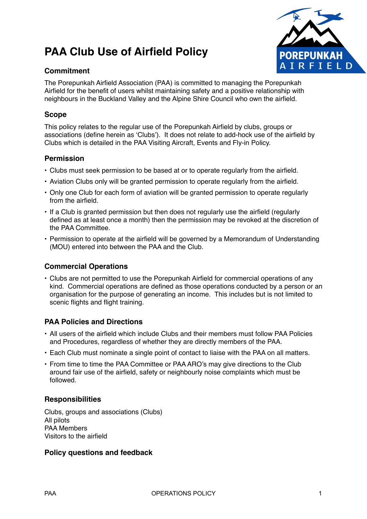# **PAA Club Use of Airfield Policy**



## **Commitment**

The Porepunkah Airfield Association (PAA) is committed to managing the Porepunkah Airfield for the benefit of users whilst maintaining safety and a positive relationship with neighbours in the Buckland Valley and the Alpine Shire Council who own the airfield.

## **Scope**

This policy relates to the regular use of the Porepunkah Airfield by clubs, groups or associations (define herein as 'Clubs'). It does not relate to add-hock use of the airfield by Clubs which is detailed in the PAA Visiting Aircraft, Events and Fly-in Policy.

## **Permission**

- Clubs must seek permission to be based at or to operate regularly from the airfield.
- Aviation Clubs only will be granted permission to operate regularly from the airfield.
- Only one Club for each form of aviation will be granted permission to operate regularly from the airfield.
- If a Club is granted permission but then does not regularly use the airfield (regularly defined as at least once a month) then the permission may be revoked at the discretion of the PAA Committee.
- Permission to operate at the airfield will be governed by a Memorandum of Understanding (MOU) entered into between the PAA and the Club.

#### **Commercial Operations**

• Clubs are not permitted to use the Porepunkah Airfield for commercial operations of any kind. Commercial operations are defined as those operations conducted by a person or an organisation for the purpose of generating an income. This includes but is not limited to scenic flights and flight training.

#### **PAA Policies and Directions**

- All users of the airfield which include Clubs and their members must follow PAA Policies and Procedures, regardless of whether they are directly members of the PAA.
- Each Club must nominate a single point of contact to liaise with the PAA on all matters.
- From time to time the PAA Committee or PAA ARO's may give directions to the Club around fair use of the airfield, safety or neighbourly noise complaints which must be followed.

#### **Responsibilities**

Clubs, groups and associations (Clubs) All pilots PAA Members Visitors to the airfield

#### **Policy questions and feedback**